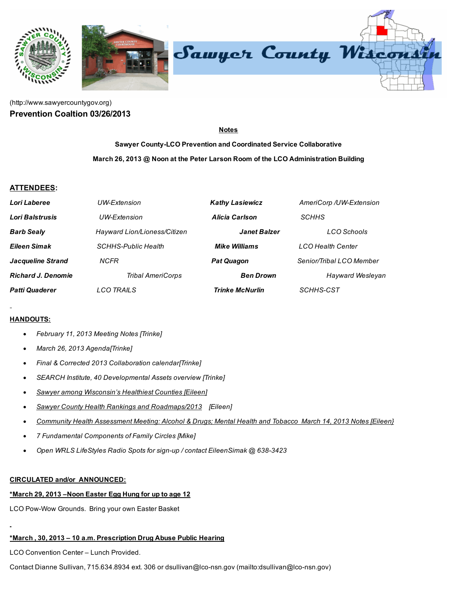

# [\(http://www.sawyercountygov.org\)](http://www.sawyercountygov.org/) Prevention Coaltion 03/26/2013

Notes

Sawyer County-LCO Prevention and Coordinated Service Collaborative March 26, 2013 @ Noon at the Peter Larson Room of the LCO Administration Building

## ATTENDEES:

| Lori Laberee              | UW-Extension                 | <b>Kathy Lasiewicz</b> | AmeriCorp /UW-Extension  |
|---------------------------|------------------------------|------------------------|--------------------------|
| Lori Balstrusis           | UW-Extension                 | Alicia Carlson         | <b>SCHHS</b>             |
| <b>Barb Sealy</b>         | Hayward Lion/Lioness/Citizen | <b>Janet Balzer</b>    | LCO Schools              |
| Eileen Simak              | <b>SCHHS-Public Health</b>   | <b>Mike Williams</b>   | <b>LCO Health Center</b> |
| <b>Jacqueline Strand</b>  | <b>NCFR</b>                  | <b>Pat Quagon</b>      | Senior/Tribal LCO Member |
| <b>Richard J. Denomie</b> | <b>Tribal AmeriCorps</b>     | <b>Ben Drown</b>       | <b>Hayward Wesleyan</b>  |
| <b>Patti Quaderer</b>     | <b>LCO TRAILS</b>            | <b>Trinke McNurlin</b> | SCHHS-CST                |

#### HANDOUTS:

- February 11, 2013 Meeting Notes [Trinke]
- March 26, 2013 Agenda[Trinke]
- Final & Corrected 2013 Collaboration calendar[Trinke]
- SEARCH Institute, 40 Developmental Assets overview [Trinke]
- Sawyer among Wisconsin's Healthiest Counties [Eileen]
- Sawyer County Health Rankings and Roadmaps/2013 [Eileen]
- Community Health Assessment Meeting: Alcohol & Drugs; Mental Health and Tobacco March 14, 2013 Notes [Eileen}
- 7 Fundamental Components of Family Circles [Mike]
- Open WRLS LifeStyles Radio Spots for sign-up / contact EileenSimak @ 638-3423

#### CIRCULATED and/or ANNOUNCED:

#### \*March 29, 2013 –Noon Easter Egg Hung for up to age 12

LCO Pow-Wow Grounds. Bring your own Easter Basket

#### \*March , 30, 2013 – 10 a.m. Prescription Drug Abuse Public Hearing

LCO Convention Center – Lunch Provided.

Contact Dianne Sullivan, 715.634.8934 ext. 306 or dsullivan@lco-nsn.gov (mailto:dsullivan@lco-nsn.gov)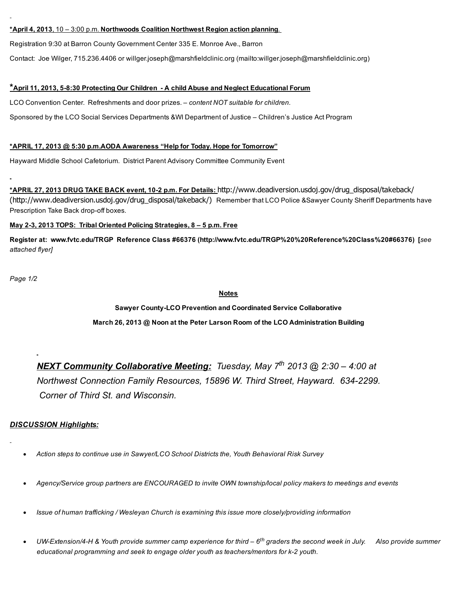#### \*April 4, 2013, 10 – 3:00 p.m. Northwoods Coalition Northwest Region action planning.

Registration 9:30 at Barron County Government Center 335 E. Monroe Ave., Barron

Contact: Joe Wilger, 715.236.4406 or willger.joseph@marshfieldclinic.org [\(mailto:willger.joseph@marshfieldclinic.org\)](mailto:willger.joseph@marshfieldclinic.org)

#### \*April 11, 2013, 58:30 Protecting Our Children A child Abuse and Neglect Educational Forum

LCO Convention Center. Refreshments and door prizes. – content NOT suitable for children.

Sponsored by the LCO Social Services Departments &WI Department of Justice – Children's Justice Act Program

#### \*APRIL 17, 2013 @ 5:30 p.m.AODA Awareness "Help for Today. Hope for Tomorrow"

Hayward Middle School Cafetorium. District Parent Advisory Committee Community Event

\***APRIL 27, 2013 DRUG TAKE BACK event, 10-2 p.m. For Details:** http://www.deadiversion.usdoj.gov/drug\_disposal/takeback/ [\(http://www.deadiversion.usdoj.gov/drug\\_disposal/takeback/\)](http://www.deadiversion.usdoj.gov/drug_disposal/takeback/) Remember that LCO Police &Sawyer County Sheriff Departments have Prescription Take Back drop-off boxes.

#### May 2-3, 2013 TOPS: Tribal Oriented Policing Strategies, 8 – 5 p.m. Free

Register at: www.fvtc.edu/TRGP Reference Class #66376 [\(http://www.fvtc.edu/TRGP%20%20Reference%20Class%20#66376\)](http://www.fvtc.edu/TRGP%20%20Reference%20Class%20#66376) [see attached flyer]

Page 1/2

### Notes

# Sawyer CountyLCO Prevention and Coordinated Service Collaborative March 26, 2013 @ Noon at the Peter Larson Room of the LCO Administration Building

NEXT Community Collaborative Meeting: Tuesday, May 7<sup>th</sup> 2013 @ 2:30 - 4:00 at Northwest Connection Family Resources, 15896 W. Third Street, Hayward. 6342299. Corner of Third St. and Wisconsin.

## DISCUSSION Highlights:

- Action steps to continue use in Sawyer/LCO School Districts the, Youth Behavioral Risk Survey
- Agency/Service group partners are ENCOURAGED to invite OWN township/local policy makers to meetings and events
- Issue of human trafficking / Wesleyan Church is examining this issue more closely/providing information
- UW-Extension/4-H & Youth provide summer camp experience for third  $6^{th}$  graders the second week in July. Also provide summer educational programming and seek to engage older youth as teachers/mentors for k-2 youth.